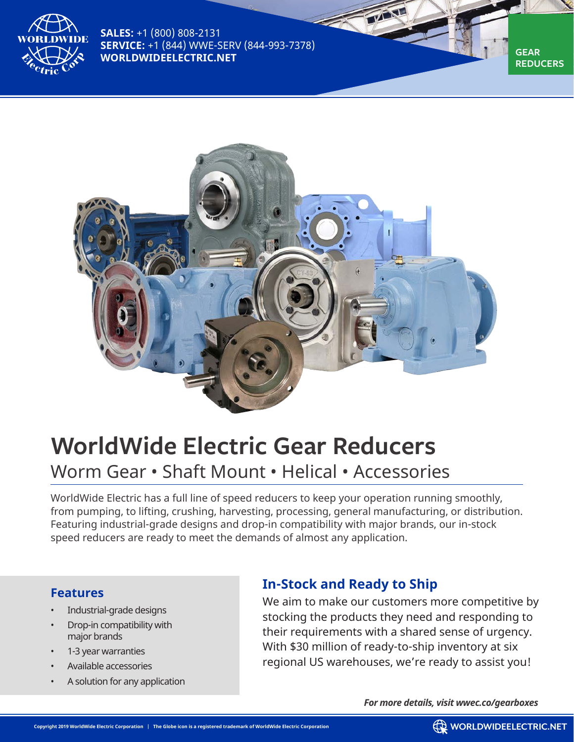

**SALES:** +1 (800) 808-2131 **SERVICE:** +1 (844) WWE-SERV (844-993-7378) **WORLDWIDEELECTRIC.NET** 



## **WorldWide Electric Gear Reducers**

## Worm Gear • Shaft Mount • Helical • Accessories

WorldWide Electric has a full line of speed reducers to keep your operation running smoothly, from pumping, to lifting, crushing, harvesting, processing, general manufacturing, or distribution. Featuring industrial-grade designs and drop-in compatibility with major brands, our in-stock speed reducers are ready to meet the demands of almost any application.

## **Features**

- Industrial-grade designs
- Drop-in compatibility with major brands
- 1-3 year warranties
- Available accessories
- A solution for any application

## **In-Stock and Ready to Ship**

We aim to make our customers more competitive by stocking the products they need and responding to their requirements with a shared sense of urgency. With \$30 million of ready-to-ship inventory at six regional US warehouses, we're ready to assist you!

*For more details, visit wwec.co/gearboxes*